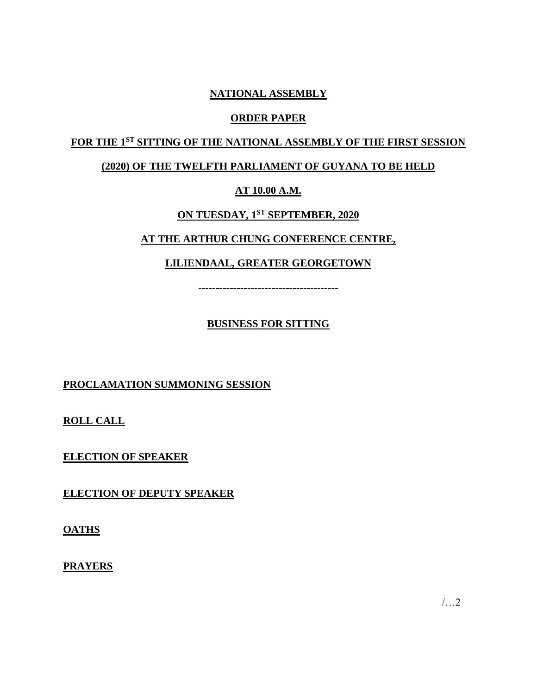# **NATIONAL ASSEMBLY**

## **ORDER PAPER**

# **FOR THE 1ST SITTING OF THE NATIONAL ASSEMBLY OF THE FIRST SESSION**

# **(2020) OF THE TWELFTH PARLIAMENT OF GUYANA TO BE HELD**

# **AT 10.00 A.M.**

# **ON TUESDAY, 1 ST SEPTEMBER, 2020**

# **AT THE ARTHUR CHUNG CONFERENCE CENTRE,**

# **LILIENDAAL, GREATER GEORGETOWN**

**----------------------------------------**

# **BUSINESS FOR SITTING**

# **PROCLAMATION SUMMONING SESSION**

**ROLL CALL**

**ELECTION OF SPEAKER**

**ELECTION OF DEPUTY SPEAKER**

**OATHS**

**PRAYERS**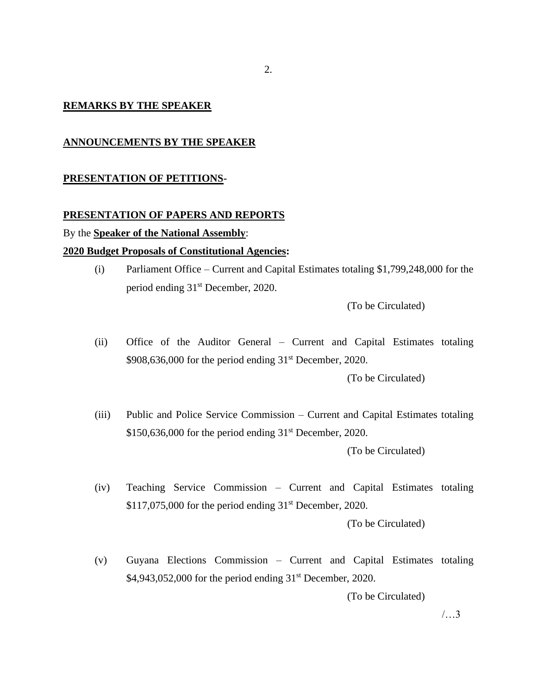#### **REMARKS BY THE SPEAKER**

#### **ANNOUNCEMENTS BY THE SPEAKER**

#### **PRESENTATION OF PETITIONS-**

#### **PRESENTATION OF PAPERS AND REPORTS**

#### By the **Speaker of the National Assembly**:

#### **2020 Budget Proposals of Constitutional Agencies:**

(i) Parliament Office – Current and Capital Estimates totaling \$1,799,248,000 for the period ending 31st December, 2020.

(To be Circulated)

(ii) Office of the Auditor General – Current and Capital Estimates totaling  $$908,636,000$  for the period ending  $31<sup>st</sup>$  December, 2020. (To be Circulated)

(iii) Public and Police Service Commission – Current and Capital Estimates totaling  $$150,636,000$  for the period ending  $31<sup>st</sup>$  December, 2020.

(To be Circulated)

(iv) Teaching Service Commission – Current and Capital Estimates totaling  $$117,075,000$  for the period ending  $31<sup>st</sup>$  December, 2020.

(To be Circulated)

(v) Guyana Elections Commission – Current and Capital Estimates totaling  $$4,943,052,000$  for the period ending  $31<sup>st</sup>$  December, 2020.

(To be Circulated)

/…3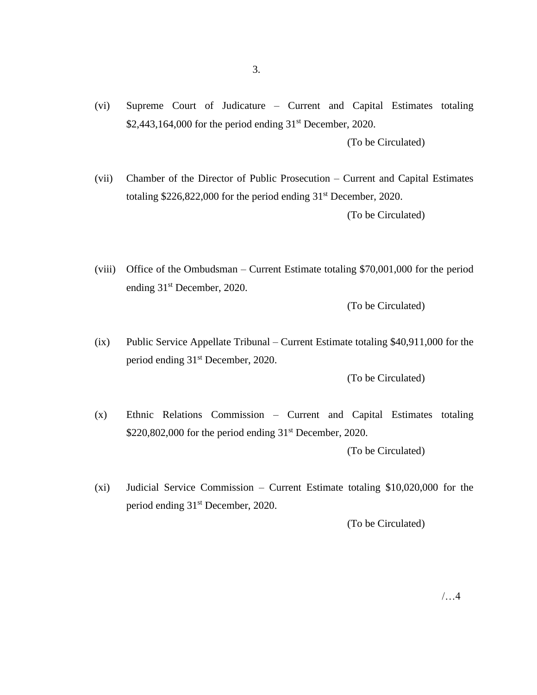(vi) Supreme Court of Judicature – Current and Capital Estimates totaling  $$2,443,164,000$  for the period ending  $31<sup>st</sup>$  December, 2020. (To be Circulated)

(vii) Chamber of the Director of Public Prosecution – Current and Capital Estimates totaling \$226,822,000 for the period ending 31st December, 2020. (To be Circulated)

(viii) Office of the Ombudsman – Current Estimate totaling \$70,001,000 for the period ending 31st December, 2020.

(To be Circulated)

(ix) Public Service Appellate Tribunal – Current Estimate totaling \$40,911,000 for the period ending 31st December, 2020.

(To be Circulated)

(x) Ethnic Relations Commission – Current and Capital Estimates totaling  $$220,802,000$  for the period ending  $31<sup>st</sup>$  December, 2020.

(To be Circulated)

(xi) Judicial Service Commission – Current Estimate totaling \$10,020,000 for the period ending 31<sup>st</sup> December, 2020.

(To be Circulated)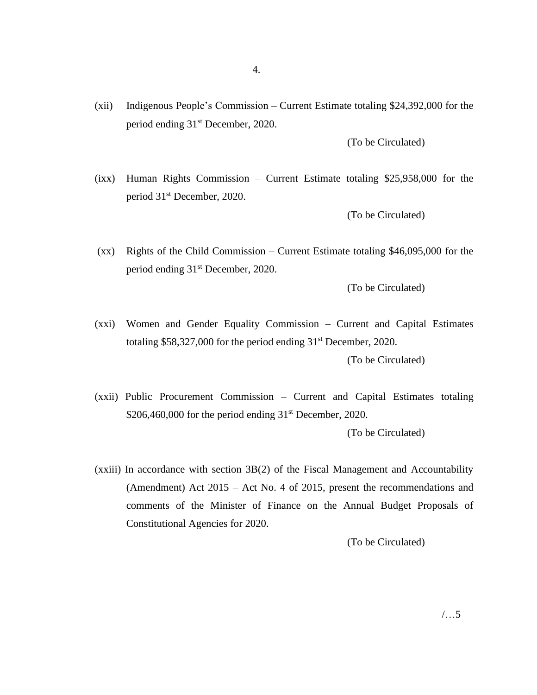(xii) Indigenous People's Commission – Current Estimate totaling \$24,392,000 for the period ending 31st December, 2020.

(To be Circulated)

(ixx) Human Rights Commission – Current Estimate totaling \$25,958,000 for the period 31st December, 2020.

(To be Circulated)

(xx) Rights of the Child Commission – Current Estimate totaling \$46,095,000 for the period ending 31st December, 2020.

(To be Circulated)

- (xxi) Women and Gender Equality Commission Current and Capital Estimates totaling \$58,327,000 for the period ending 31st December, 2020. (To be Circulated)
- (xxii) Public Procurement Commission Current and Capital Estimates totaling  $$206,460,000$  for the period ending  $31<sup>st</sup>$  December, 2020.

(To be Circulated)

(xxiii) In accordance with section 3B(2) of the Fiscal Management and Accountability (Amendment) Act 2015 – Act No. 4 of 2015, present the recommendations and comments of the Minister of Finance on the Annual Budget Proposals of Constitutional Agencies for 2020.

(To be Circulated)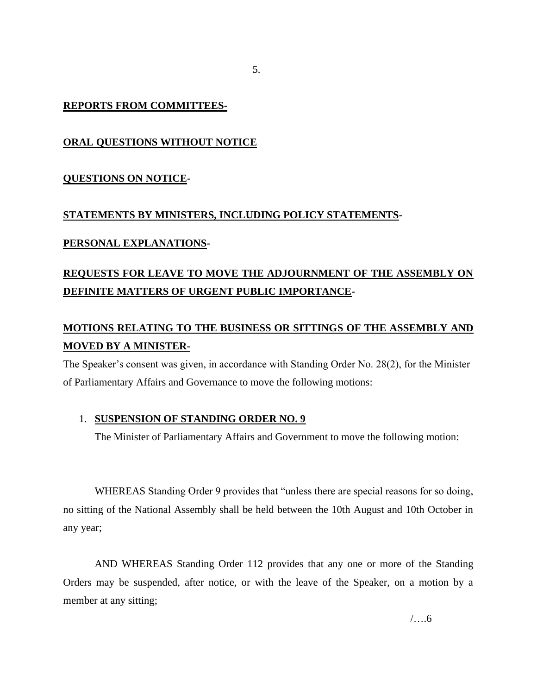#### **REPORTS FROM COMMITTEES-**

## **ORAL QUESTIONS WITHOUT NOTICE**

#### **QUESTIONS ON NOTICE-**

#### **STATEMENTS BY MINISTERS, INCLUDING POLICY STATEMENTS-**

#### **PERSONAL EXPLANATIONS-**

# **REQUESTS FOR LEAVE TO MOVE THE ADJOURNMENT OF THE ASSEMBLY ON DEFINITE MATTERS OF URGENT PUBLIC IMPORTANCE-**

# **MOTIONS RELATING TO THE BUSINESS OR SITTINGS OF THE ASSEMBLY AND MOVED BY A MINISTER-**

The Speaker's consent was given, in accordance with Standing Order No. 28(2), for the Minister of Parliamentary Affairs and Governance to move the following motions:

#### 1. **SUSPENSION OF STANDING ORDER NO. 9**

The Minister of Parliamentary Affairs and Government to move the following motion:

WHEREAS Standing Order 9 provides that "unless there are special reasons for so doing, no sitting of the National Assembly shall be held between the 10th August and 10th October in any year;

AND WHEREAS Standing Order 112 provides that any one or more of the Standing Orders may be suspended, after notice, or with the leave of the Speaker, on a motion by a member at any sitting;

5.

/….6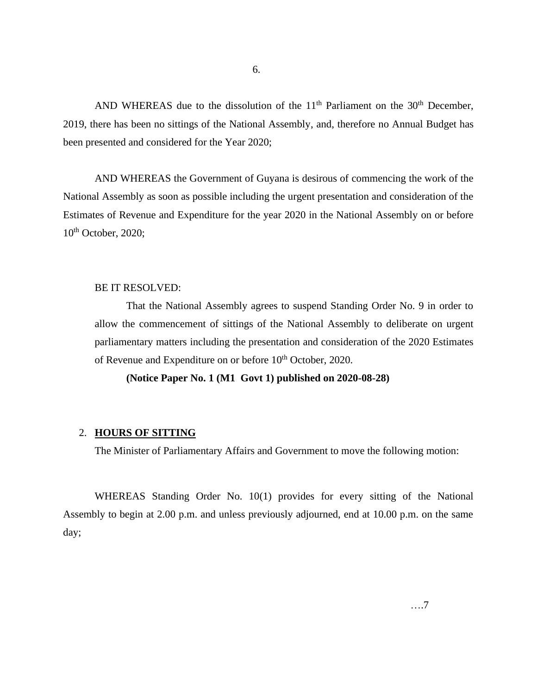AND WHEREAS due to the dissolution of the  $11<sup>th</sup>$  Parliament on the  $30<sup>th</sup>$  December, 2019, there has been no sittings of the National Assembly, and, therefore no Annual Budget has been presented and considered for the Year 2020;

AND WHEREAS the Government of Guyana is desirous of commencing the work of the National Assembly as soon as possible including the urgent presentation and consideration of the Estimates of Revenue and Expenditure for the year 2020 in the National Assembly on or before  $10^{th}$  October, 2020;

#### BE IT RESOLVED:

That the National Assembly agrees to suspend Standing Order No. 9 in order to allow the commencement of sittings of the National Assembly to deliberate on urgent parliamentary matters including the presentation and consideration of the 2020 Estimates of Revenue and Expenditure on or before 10<sup>th</sup> October, 2020.

#### **(Notice Paper No. 1 (M1 Govt 1) published on 2020-08-28)**

#### 2. **HOURS OF SITTING**

The Minister of Parliamentary Affairs and Government to move the following motion:

WHEREAS Standing Order No. 10(1) provides for every sitting of the National Assembly to begin at 2.00 p.m. and unless previously adjourned, end at 10.00 p.m. on the same day;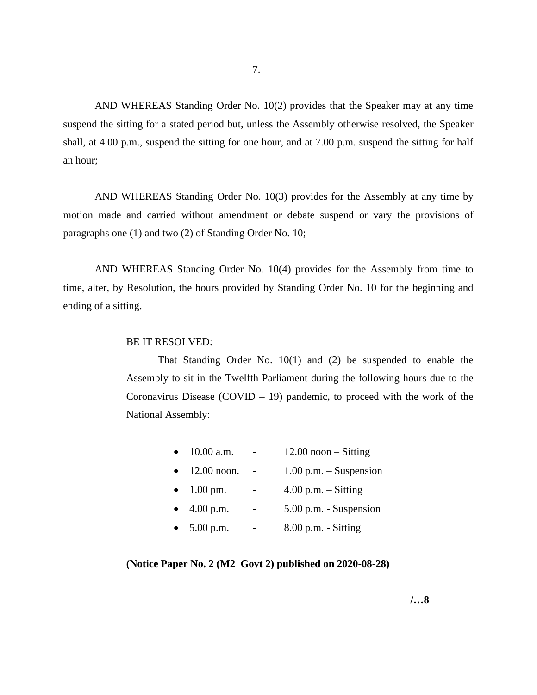AND WHEREAS Standing Order No. 10(2) provides that the Speaker may at any time suspend the sitting for a stated period but, unless the Assembly otherwise resolved, the Speaker shall, at 4.00 p.m., suspend the sitting for one hour, and at 7.00 p.m. suspend the sitting for half an hour;

AND WHEREAS Standing Order No. 10(3) provides for the Assembly at any time by motion made and carried without amendment or debate suspend or vary the provisions of paragraphs one (1) and two (2) of Standing Order No. 10;

AND WHEREAS Standing Order No. 10(4) provides for the Assembly from time to time, alter, by Resolution, the hours provided by Standing Order No. 10 for the beginning and ending of a sitting.

#### BE IT RESOLVED:

That Standing Order No. 10(1) and (2) be suspended to enable the Assembly to sit in the Twelfth Parliament during the following hours due to the Coronavirus Disease (COVID – 19) pandemic, to proceed with the work of the National Assembly:

|  | 10.00 a.m. |  | $12.00$ noon $-$ Sitting |  |
|--|------------|--|--------------------------|--|
|--|------------|--|--------------------------|--|

- 12.00 noon.  $1.00$  p.m. Suspension
- $1.00 \text{ pm}$ .  $4.00 \text{ p.m.} -$  Sitting
- $\bullet$  4.00 p.m.  $\bullet$  5.00 p.m. Suspension
- $5.00 \text{ p.m.}$   $8.00 \text{ p.m.}$  Sitting

**(Notice Paper No. 2 (M2 Govt 2) published on 2020-08-28)**